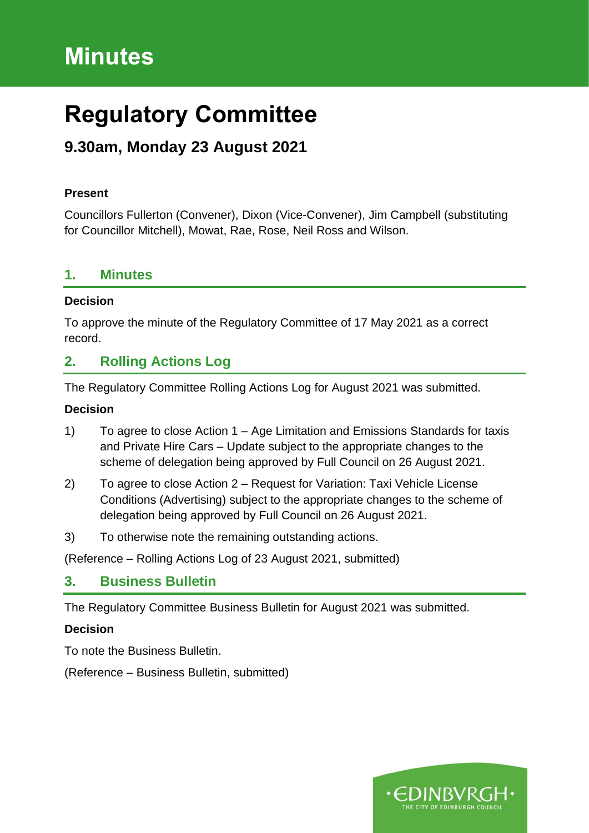# **Minutes**

# **Regulatory Committee**

# **9.30am, Monday 23 August 2021**

#### **Present**

Councillors Fullerton (Convener), Dixon (Vice-Convener), Jim Campbell (substituting for Councillor Mitchell), Mowat, Rae, Rose, Neil Ross and Wilson.

#### **1. Minutes**

#### **Decision**

To approve the minute of the Regulatory Committee of 17 May 2021 as a correct record.

## **2. Rolling Actions Log**

The Regulatory Committee Rolling Actions Log for August 2021 was submitted.

#### **Decision**

- 1) To agree to close Action 1 Age Limitation and Emissions Standards for taxis and Private Hire Cars – Update subject to the appropriate changes to the scheme of delegation being approved by Full Council on 26 August 2021.
- 2) To agree to close Action 2 Request for Variation: Taxi Vehicle License Conditions (Advertising) subject to the appropriate changes to the scheme of delegation being approved by Full Council on 26 August 2021.
- 3) To otherwise note the remaining outstanding actions.

(Reference – Rolling Actions Log of 23 August 2021, submitted)

### **3. Business Bulletin**

The Regulatory Committee Business Bulletin for August 2021 was submitted.

#### **Decision**

To note the Business Bulletin.

(Reference – Business Bulletin, submitted)

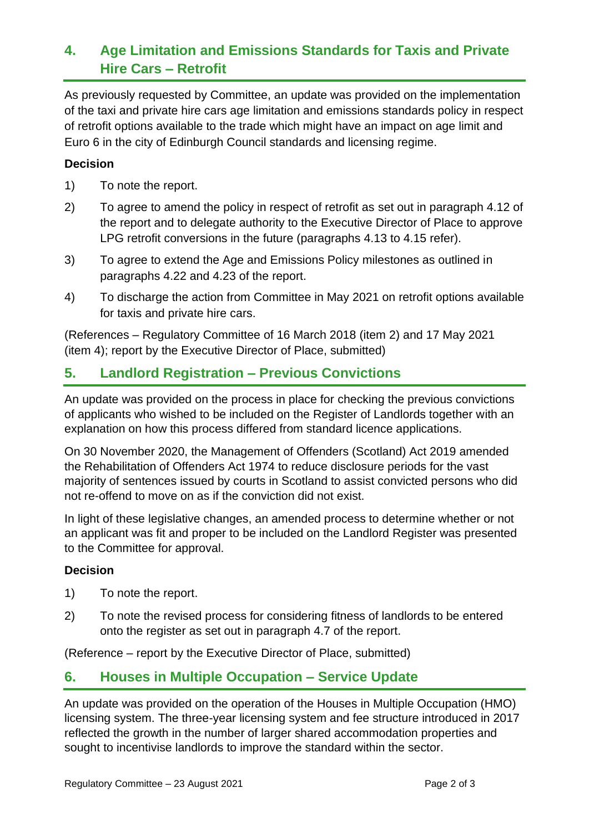# **4. Age Limitation and Emissions Standards for Taxis and Private Hire Cars – Retrofit**

As previously requested by Committee, an update was provided on the implementation of the taxi and private hire cars age limitation and emissions standards policy in respect of retrofit options available to the trade which might have an impact on age limit and Euro 6 in the city of Edinburgh Council standards and licensing regime.

#### **Decision**

- 1) To note the report.
- 2) To agree to amend the policy in respect of retrofit as set out in paragraph 4.12 of the report and to delegate authority to the Executive Director of Place to approve LPG retrofit conversions in the future (paragraphs 4.13 to 4.15 refer).
- 3) To agree to extend the Age and Emissions Policy milestones as outlined in paragraphs 4.22 and 4.23 of the report.
- 4) To discharge the action from Committee in May 2021 on retrofit options available for taxis and private hire cars.

(References – Regulatory Committee of 16 March 2018 (item 2) and 17 May 2021 (item 4); report by the Executive Director of Place, submitted)

## **5. Landlord Registration – Previous Convictions**

An update was provided on the process in place for checking the previous convictions of applicants who wished to be included on the Register of Landlords together with an explanation on how this process differed from standard licence applications.

On 30 November 2020, the Management of Offenders (Scotland) Act 2019 amended the Rehabilitation of Offenders Act 1974 to reduce disclosure periods for the vast majority of sentences issued by courts in Scotland to assist convicted persons who did not re-offend to move on as if the conviction did not exist.

In light of these legislative changes, an amended process to determine whether or not an applicant was fit and proper to be included on the Landlord Register was presented to the Committee for approval.

#### **Decision**

- 1) To note the report.
- 2) To note the revised process for considering fitness of landlords to be entered onto the register as set out in paragraph 4.7 of the report.

(Reference – report by the Executive Director of Place, submitted)

## **6. Houses in Multiple Occupation – Service Update**

An update was provided on the operation of the Houses in Multiple Occupation (HMO) licensing system. The three-year licensing system and fee structure introduced in 2017 reflected the growth in the number of larger shared accommodation properties and sought to incentivise landlords to improve the standard within the sector.